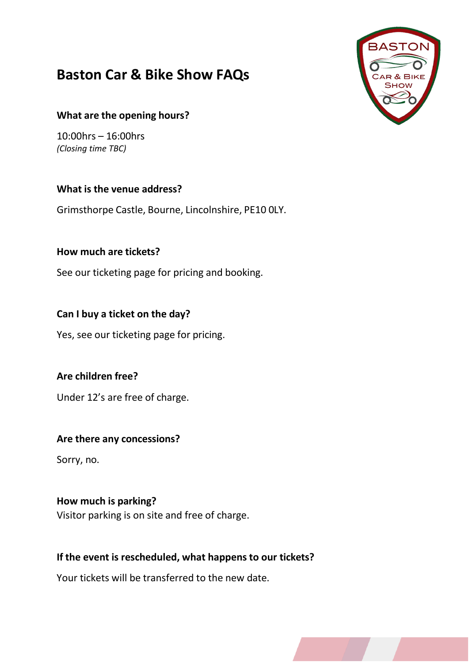# **Baston Car & Bike Show FAQs**



#### **What are the opening hours?**

10:00hrs – 16:00hrs *(Closing time TBC)*

#### **What is the venue address?**

Grimsthorpe Castle, Bourne, Lincolnshire, PE10 0LY.

## **How much are tickets?**

See our ticketing page for pricing and booking.

## **Can I buy a ticket on the day?**

Yes, see our ticketing page for pricing.

## **Are children free?**

Under 12's are free of charge.

## **Are there any concessions?**

Sorry, no.

## **How much is parking?**

Visitor parking is on site and free of charge.

## **If the event is rescheduled, what happensto our tickets?**

Your tickets will be transferred to the new date.

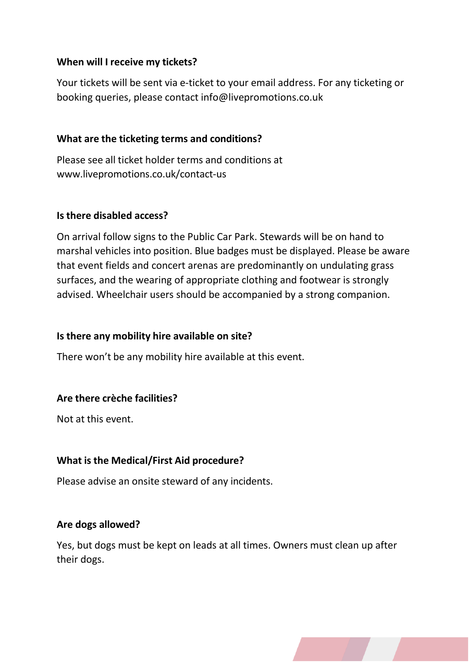#### **When will I receive my tickets?**

Your tickets will be sent via e-ticket to your email address. For any ticketing or booking queries, please contact [info@livepromotions.co.uk](mailto:info@livepromotions.co.uk)

#### **What are the ticketing terms and conditions?**

Please see all ticket holder terms and conditions at [www.livepromotions.co.uk/contact-us](http://www.livepromotions.co.uk/contact-us)

#### **Is there disabled access?**

On arrival follow signs to the Public Car Park. Stewards will be on hand to marshal vehicles into position. Blue badges must be displayed. Please be aware that event fields and concert arenas are predominantly on undulating grass surfaces, and the wearing of appropriate clothing and footwear is strongly advised. Wheelchair users should be accompanied by a strong companion.

#### **Is there any mobility hire available on site?**

There won't be any mobility hire available at this event.

#### **Are there crèche facilities?**

Not at this event.

#### **What is the Medical/First Aid procedure?**

Please advise an onsite steward of any incidents.

#### **Are dogs allowed?**

Yes, but dogs must be kept on leads at all times. Owners must clean up after their dogs.